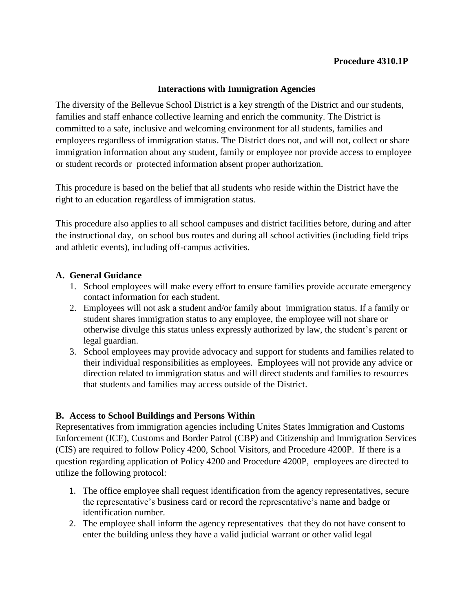## **Procedure 4310.1P**

### **Interactions with Immigration Agencies**

The diversity of the Bellevue School District is a key strength of the District and our students, families and staff enhance collective learning and enrich the community. The District is committed to a safe, inclusive and welcoming environment for all students, families and employees regardless of immigration status. The District does not, and will not, collect or share immigration information about any student, family or employee nor provide access to employee or student records or protected information absent proper authorization.

This procedure is based on the belief that all students who reside within the District have the right to an education regardless of immigration status.

This procedure also applies to all school campuses and district facilities before, during and after the instructional day, on school bus routes and during all school activities (including field trips and athletic events), including off-campus activities.

#### **A. General Guidance**

- 1. School employees will make every effort to ensure families provide accurate emergency contact information for each student.
- 2. Employees will not ask a student and/or family about immigration status. If a family or student shares immigration status to any employee, the employee will not share or otherwise divulge this status unless expressly authorized by law, the student's parent or legal guardian.
- 3. School employees may provide advocacy and support for students and families related to their individual responsibilities as employees. Employees will not provide any advice or direction related to immigration status and will direct students and families to resources that students and families may access outside of the District.

## **B. Access to School Buildings and Persons Within**

Representatives from immigration agencies including Unites States Immigration and Customs Enforcement (ICE), Customs and Border Patrol (CBP) and Citizenship and Immigration Services (CIS) are required to follow Policy 4200, School Visitors, and Procedure 4200P. If there is a question regarding application of Policy 4200 and Procedure 4200P, employees are directed to utilize the following protocol:

- 1. The office employee shall request identification from the agency representatives, secure the representative's business card or record the representative's name and badge or identification number.
- 2. The employee shall inform the agency representatives that they do not have consent to enter the building unless they have a valid judicial warrant or other valid legal